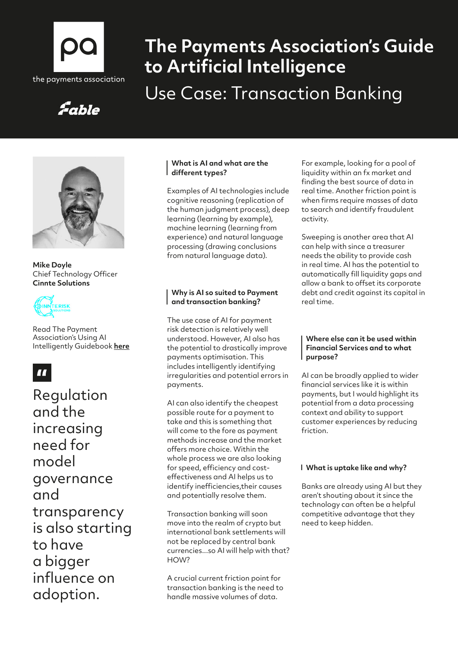

# **The Payments Association's Guide to Artificial Intelligence** Use Case: Transaction Banking

# Fable



**Mike Doyle**  Chief Technology Officer **Cinnte Solutions**



Read The Payment Association's Using AI Intelligently Guidebook **[here](https://thepaymentsassociation.org/whitepaper/using-ai-intelligently-smart-ways-to-use-artificial-intelligence-in-payments/)**

### $\blacksquare$

Regulation and the increasing need for model governance and transparency is also starting to have a bigger influence on adoption.

#### **What is AI and what are the different types?**

Examples of AI technologies include cognitive reasoning (replication of the human judgment process), deep learning (learning by example), machine learning (learning from experience) and natural language processing (drawing conclusions from natural language data).

#### **Why is AI so suited to Payment and transaction banking?**

The use case of AI for payment risk detection is relatively well understood. However, AI also has the potential to drastically improve payments optimisation. This includes intelligently identifying irregularities and potential errors in payments.

AI can also identify the cheapest possible route for a payment to take and this is something that will come to the fore as payment methods increase and the market offers more choice. Within the whole process we are also looking for speed, efficiency and costeffectiveness and AI helps us to identify inefficiencies,their causes and potentially resolve them.

Transaction banking will soon move into the realm of crypto but international bank settlements will not be replaced by central bank currencies...so AI will help with that? HOW?

A crucial current friction point for transaction banking is the need to handle massive volumes of data.

For example, looking for a pool of liquidity within an fx market and finding the best source of data in real time. Another friction point is when firms require masses of data to search and identify fraudulent activity.

Sweeping is another area that AI can help with since a treasurer needs the ability to provide cash in real time. AI has the potential to automatically fill liquidity gaps and allow a bank to offset its corporate debt and credit against its capital in real time.

#### **Where else can it be used within Financial Services and to what purpose?**

AI can be broadly applied to wider financial services like it is within payments, but I would highlight its potential from a data processing context and ability to support customer experiences by reducing friction.

#### **What is uptake like and why?**

Banks are already using AI but they aren't shouting about it since the technology can often be a helpful competitive advantage that they need to keep hidden.